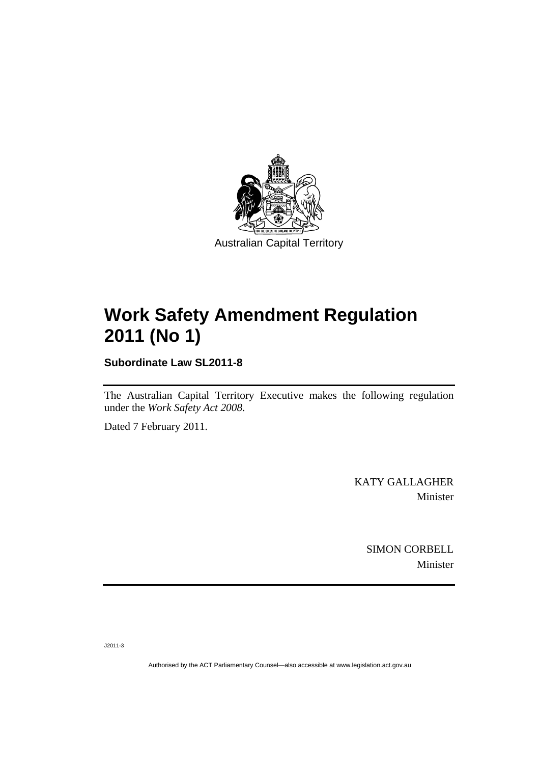

# **[Work Safety Amendment Regulation](#page-2-0)  [2011 \(No 1\)](#page-2-0)**

**Subordinate Law SL2011-8** 

The Australian Capital Territory Executive makes the following regulation under the *[Work Safety Act 2008](#page-2-0)*.

Dated 7 February 2011.

KATY GALLAGHER Minister

> SIMON CORBELL Minister

J2011-3

Authorised by the ACT Parliamentary Counsel—also accessible at www.legislation.act.gov.au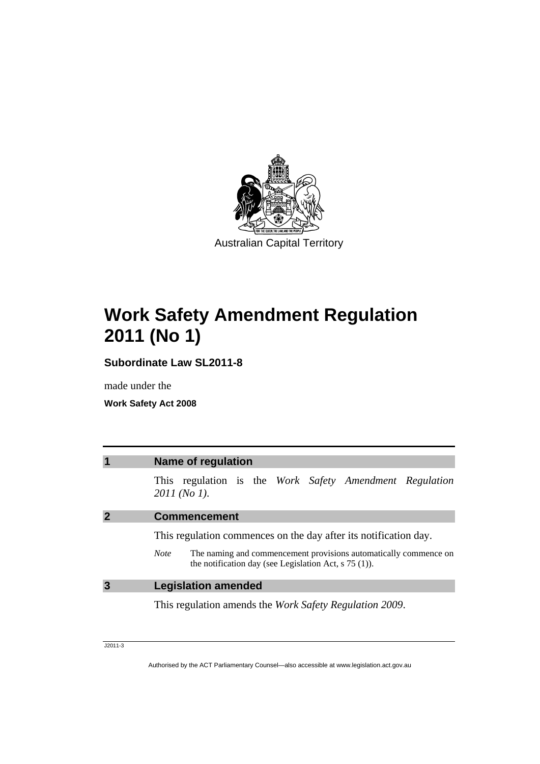<span id="page-2-0"></span>

# **Work Safety Amendment Regulation 2011 (No 1)**

**Subordinate Law SL2011-8** 

made under the

**Work Safety Act 2008** 

| $\overline{\mathbf{1}}$ | <b>Name of regulation</b>                                                                                                                         |
|-------------------------|---------------------------------------------------------------------------------------------------------------------------------------------------|
|                         | This regulation is the Work Safety Amendment Regulation<br>2011 (No 1).                                                                           |
| $\overline{2}$          | <b>Commencement</b>                                                                                                                               |
|                         | This regulation commences on the day after its notification day.                                                                                  |
|                         | The naming and commencement provisions automatically commence on<br><b>Note</b><br>the notification day (see Legislation Act, $\frac{5(1)}{2}$ ). |
| $\overline{3}$          | <b>Legislation amended</b>                                                                                                                        |
|                         | This regulation amends the <i>Work Safety Regulation 2009</i> .                                                                                   |

J2011-3

Authorised by the ACT Parliamentary Counsel—also accessible at www.legislation.act.gov.au